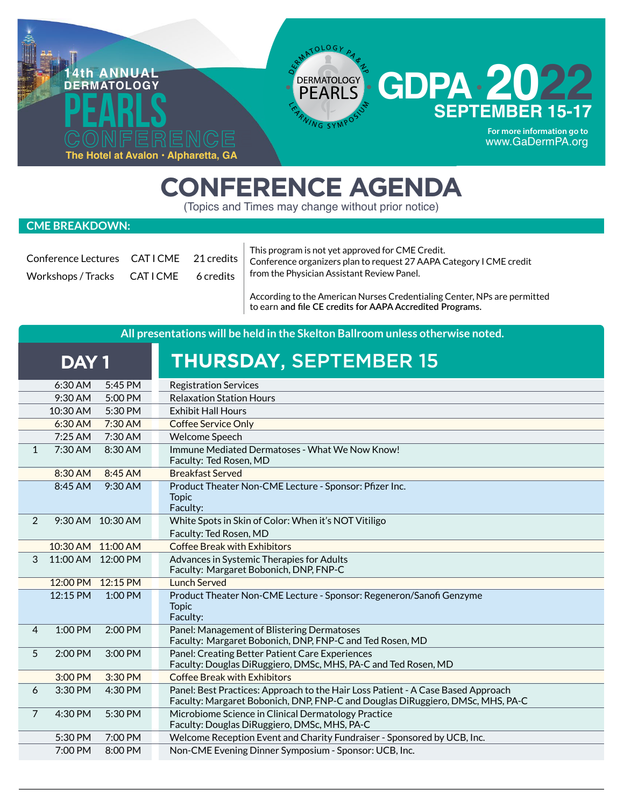

## **CONFERENCE AGENDA**

(Topics and Times may change without prior notice)

## **CME BREAKDOWN:**

| Conference Lectures CATICME 21 credits |  |
|----------------------------------------|--|
| Workshops/Tracks CATICME 6 credits     |  |

This program is not yet approved for CME Credit. Conference organizers plan to request 27 AAPA Category I CME credit from the Physician Assistant Review Panel.

According to the American Nurses Credentialing Center, NPs are permitted to earn **and file CE credits for AAPA Accredited Programs.**

| All presentations will be held in the Skelton Ballroom unless otherwise noted. |                                                                                                                                                                    |  |  |
|--------------------------------------------------------------------------------|--------------------------------------------------------------------------------------------------------------------------------------------------------------------|--|--|
| DAY <sub>1</sub>                                                               | <b>THURSDAY, SEPTEMBER 15</b>                                                                                                                                      |  |  |
| 6:30 AM<br>5:45 PM                                                             | <b>Registration Services</b>                                                                                                                                       |  |  |
| 9:30 AM<br>5:00 PM                                                             | <b>Relaxation Station Hours</b>                                                                                                                                    |  |  |
| 10:30 AM<br>5:30 PM                                                            | <b>Exhibit Hall Hours</b>                                                                                                                                          |  |  |
| 7:30 AM<br>$6:30$ AM                                                           | <b>Coffee Service Only</b>                                                                                                                                         |  |  |
| $7:25$ AM<br>$7:30$ AM                                                         | <b>Welcome Speech</b>                                                                                                                                              |  |  |
| 7:30 AM<br>$\mathbf{1}$<br>8:30 AM                                             | Immune Mediated Dermatoses - What We Now Know!<br>Faculty: Ted Rosen, MD                                                                                           |  |  |
| 8:45 AM<br>8:30 AM                                                             | <b>Breakfast Served</b>                                                                                                                                            |  |  |
| 8:45 AM<br>9:30 AM                                                             | Product Theater Non-CME Lecture - Sponsor: Pfizer Inc.<br><b>Topic</b><br>Faculty:                                                                                 |  |  |
| $\overline{2}$<br>9:30 AM 10:30 AM                                             | White Spots in Skin of Color: When it's NOT Vitiligo<br>Faculty: Ted Rosen, MD                                                                                     |  |  |
| 10:30 AM 11:00 AM                                                              | <b>Coffee Break with Exhibitors</b>                                                                                                                                |  |  |
| 11:00 AM 12:00 PM<br>3                                                         | Advances in Systemic Therapies for Adults<br>Faculty: Margaret Bobonich, DNP, FNP-C                                                                                |  |  |
| 12:00 PM<br>12:15 PM                                                           | <b>Lunch Served</b>                                                                                                                                                |  |  |
| 12:15 PM<br>1:00 PM                                                            | Product Theater Non-CME Lecture - Sponsor: Regeneron/Sanofi Genzyme<br><b>Topic</b><br>Faculty:                                                                    |  |  |
| 1:00 PM<br>$\overline{4}$<br>2:00 PM                                           | Panel: Management of Blistering Dermatoses<br>Faculty: Margaret Bobonich, DNP, FNP-C and Ted Rosen, MD                                                             |  |  |
| 5<br>2:00 PM<br>3:00 PM                                                        | Panel: Creating Better Patient Care Experiences<br>Faculty: Douglas DiRuggiero, DMSc, MHS, PA-C and Ted Rosen, MD                                                  |  |  |
| 3:00 PM<br>3:30 PM                                                             | <b>Coffee Break with Exhibitors</b>                                                                                                                                |  |  |
| 3:30 PM<br>4:30 PM<br>6                                                        | Panel: Best Practices: Approach to the Hair Loss Patient - A Case Based Approach<br>Faculty: Margaret Bobonich, DNP, FNP-C and Douglas DiRuggiero, DMSc, MHS, PA-C |  |  |
| $\overline{7}$<br>4:30 PM<br>5:30 PM                                           | Microbiome Science in Clinical Dermatology Practice<br>Faculty: Douglas DiRuggiero, DMSc, MHS, PA-C                                                                |  |  |
| 5:30 PM<br>7:00 PM                                                             | Welcome Reception Event and Charity Fundraiser - Sponsored by UCB, Inc.                                                                                            |  |  |
| 7:00 PM<br>8:00 PM                                                             | Non-CME Evening Dinner Symposium - Sponsor: UCB, Inc.                                                                                                              |  |  |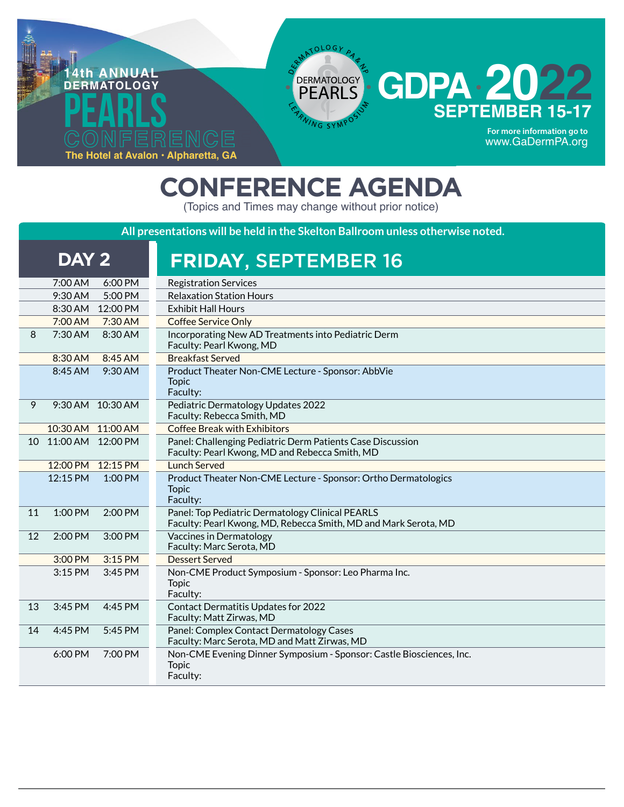

## **CONFERENCE AGENDA**

(Topics and Times may change without prior notice)

**All presentations will be held in the Skelton Ballroom unless otherwise noted.**

| DAY <sub>2</sub>                     | <b>FRIDAY, SEPTEMBER 16</b>                                                                                         |
|--------------------------------------|---------------------------------------------------------------------------------------------------------------------|
| 7:00 AM<br>6:00 PM                   | <b>Registration Services</b>                                                                                        |
| 9:30 AM<br>5:00 PM                   | <b>Relaxation Station Hours</b>                                                                                     |
| 8:30 AM 12:00 PM                     | <b>Exhibit Hall Hours</b>                                                                                           |
| 7:00 AM<br>$7:30$ AM                 | Coffee Service Only                                                                                                 |
| 7:30 AM<br>8<br>8:30 AM              | Incorporating New AD Treatments into Pediatric Derm<br>Faculty: Pearl Kwong, MD                                     |
| 8:30 AM<br>8:45 AM                   | <b>Breakfast Served</b>                                                                                             |
| 8:45 AM<br>9:30 AM                   | Product Theater Non-CME Lecture - Sponsor: AbbVie<br><b>Topic</b><br>Faculty:                                       |
| 9<br>9:30 AM 10:30 AM                | Pediatric Dermatology Updates 2022<br>Faculty: Rebecca Smith, MD                                                    |
| 10:30 AM 11:00 AM                    | <b>Coffee Break with Exhibitors</b>                                                                                 |
| 11:00 AM 12:00 PM<br>10 <sup>1</sup> | Panel: Challenging Pediatric Derm Patients Case Discussion<br>Faculty: Pearl Kwong, MD and Rebecca Smith, MD        |
| 12:00 PM 12:15 PM                    | <b>Lunch Served</b>                                                                                                 |
| 12:15 PM<br>$1:00$ PM                | Product Theater Non-CME Lecture - Sponsor: Ortho Dermatologics<br><b>Topic</b><br>Faculty:                          |
| 1:00 PM<br>11<br>$2:00$ PM           | Panel: Top Pediatric Dermatology Clinical PEARLS<br>Faculty: Pearl Kwong, MD, Rebecca Smith, MD and Mark Serota, MD |
| 2:00 PM<br>12<br>$3:00$ PM           | Vaccines in Dermatology<br>Faculty: Marc Serota, MD                                                                 |
| 3:00 PM<br>3:15 PM                   | <b>Dessert Served</b>                                                                                               |
| 3:15 PM<br>3:45 PM                   | Non-CME Product Symposium - Sponsor: Leo Pharma Inc.<br><b>Topic</b><br>Faculty:                                    |
| 3:45 PM<br>13<br>4:45 PM             | <b>Contact Dermatitis Updates for 2022</b><br>Faculty: Matt Zirwas, MD                                              |
| 4:45 PM<br>5:45 PM<br>14             | Panel: Complex Contact Dermatology Cases<br>Faculty: Marc Serota, MD and Matt Zirwas, MD                            |
| 6:00 PM<br>7:00 PM                   | Non-CME Evening Dinner Symposium - Sponsor: Castle Biosciences, Inc.<br><b>Topic</b><br>Faculty:                    |